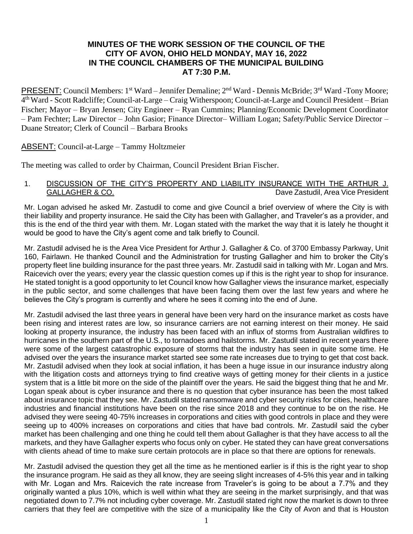# **MINUTES OF THE WORK SESSION OF THE COUNCIL OF THE CITY OF AVON, OHIO HELD MONDAY, MAY 16, 2022 IN THE COUNCIL CHAMBERS OF THE MUNICIPAL BUILDING AT 7:30 P.M.**

PRESENT: Council Members: 1<sup>st</sup> Ward – Jennifer Demaline; 2<sup>nd</sup> Ward - Dennis McBride; 3<sup>rd</sup> Ward -Tony Moore; 4 thWard - Scott Radcliffe; Council-at-Large – Craig Witherspoon; Council-at-Large and Council President – Brian Fischer; Mayor – Bryan Jensen; City Engineer – Ryan Cummins; Planning/Economic Development Coordinator – Pam Fechter; Law Director – John Gasior; Finance Director– William Logan; Safety/Public Service Director – Duane Streator; Clerk of Council – Barbara Brooks

# ABSENT: Council-at-Large – Tammy Holtzmeier

The meeting was called to order by Chairman, Council President Brian Fischer.

## 1. DISCUSSION OF THE CITY'S PROPERTY AND LIABILITY INSURANCE WITH THE ARTHUR J. GALLAGHER & CO. **Dave Zastudil, Area Vice President**

Mr. Logan advised he asked Mr. Zastudil to come and give Council a brief overview of where the City is with their liability and property insurance. He said the City has been with Gallagher, and Traveler's as a provider, and this is the end of the third year with them. Mr. Logan stated with the market the way that it is lately he thought it would be good to have the City's agent come and talk briefly to Council.

Mr. Zastudil advised he is the Area Vice President for Arthur J. Gallagher & Co. of 3700 Embassy Parkway, Unit 160, Fairlawn. He thanked Council and the Administration for trusting Gallagher and him to broker the City's property fleet line building insurance for the past three years. Mr. Zastudil said in talking with Mr. Logan and Mrs. Raicevich over the years; every year the classic question comes up if this is the right year to shop for insurance. He stated tonight is a good opportunity to let Council know how Gallagher views the insurance market, especially in the public sector, and some challenges that have been facing them over the last few years and where he believes the City's program is currently and where he sees it coming into the end of June.

Mr. Zastudil advised the last three years in general have been very hard on the insurance market as costs have been rising and interest rates are low, so insurance carriers are not earning interest on their money. He said looking at property insurance, the industry has been faced with an influx of storms from Australian wildfires to hurricanes in the southern part of the U.S., to tornadoes and hailstorms. Mr. Zastudil stated in recent years there were some of the largest catastrophic exposure of storms that the industry has seen in quite some time. He advised over the years the insurance market started see some rate increases due to trying to get that cost back. Mr. Zastudil advised when they look at social inflation, it has been a huge issue in our insurance industry along with the litigation costs and attorneys trying to find creative ways of getting money for their clients in a justice system that is a little bit more on the side of the plaintiff over the years. He said the biggest thing that he and Mr. Logan speak about is cyber insurance and there is no question that cyber insurance has been the most talked about insurance topic that they see. Mr. Zastudil stated ransomware and cyber security risks for cities, healthcare industries and financial institutions have been on the rise since 2018 and they continue to be on the rise. He advised they were seeing 40-75% increases in corporations and cities with good controls in place and they were seeing up to 400% increases on corporations and cities that have bad controls. Mr. Zastudil said the cyber market has been challenging and one thing he could tell them about Gallagher is that they have access to all the markets, and they have Gallagher experts who focus only on cyber. He stated they can have great conversations with clients ahead of time to make sure certain protocols are in place so that there are options for renewals.

Mr. Zastudil advised the question they get all the time as he mentioned earlier is if this is the right year to shop the insurance program. He said as they all know, they are seeing slight increases of 4-5% this year and in talking with Mr. Logan and Mrs. Raicevich the rate increase from Traveler's is going to be about a 7.7% and they originally wanted a plus 10%, which is well within what they are seeing in the market surprisingly, and that was negotiated down to 7.7% not including cyber coverage. Mr. Zastudil stated right now the market is down to three carriers that they feel are competitive with the size of a municipality like the City of Avon and that is Houston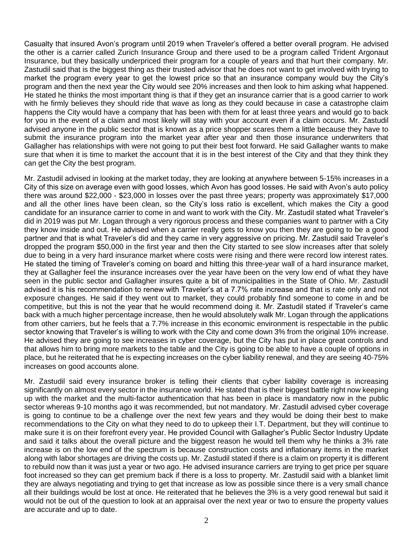Casualty that insured Avon's program until 2019 when Traveler's offered a better overall program. He advised the other is a carrier called Zurich Insurance Group and there used to be a program called Trident Argonaut Insurance, but they basically underpriced their program for a couple of years and that hurt their company. Mr. Zastudil said that is the biggest thing as their trusted advisor that he does not want to get involved with trying to market the program every year to get the lowest price so that an insurance company would buy the City's program and then the next year the City would see 20% increases and then look to him asking what happened. He stated he thinks the most important thing is that if they get an insurance carrier that is a good carrier to work with he firmly believes they should ride that wave as long as they could because in case a catastrophe claim happens the City would have a company that has been with them for at least three years and would go to back for you in the event of a claim and most likely will stay with your account even if a claim occurs. Mr. Zastudil advised anyone in the public sector that is known as a price shopper scares them a little because they have to submit the insurance program into the market year after year and then those insurance underwriters that Gallagher has relationships with were not going to put their best foot forward. He said Gallagher wants to make sure that when it is time to market the account that it is in the best interest of the City and that they think they can get the City the best program.

Mr. Zastudil advised in looking at the market today, they are looking at anywhere between 5-15% increases in a City of this size on average even with good losses, which Avon has good losses. He said with Avon's auto policy there was around \$22,000 - \$23,000 in losses over the past three years; property was approximately \$17,000 and all the other lines have been clean, so the City's loss ratio is excellent, which makes the City a good candidate for an insurance carrier to come in and want to work with the City. Mr. Zastudil stated what Traveler's did in 2019 was put Mr. Logan through a very rigorous process and these companies want to partner with a City they know inside and out. He advised when a carrier really gets to know you then they are going to be a good partner and that is what Traveler's did and they came in very aggressive on pricing. Mr. Zastudil said Traveler's dropped the program \$50,000 in the first year and then the City started to see slow increases after that solely due to being in a very hard insurance market where costs were rising and there were record low interest rates. He stated the timing of Traveler's coming on board and hitting this three-year wall of a hard insurance market, they at Gallagher feel the insurance increases over the year have been on the very low end of what they have seen in the public sector and Gallagher insures quite a bit of municipalities in the State of Ohio. Mr. Zastudil advised it is his recommendation to renew with Traveler's at a 7.7% rate increase and that is rate only and not exposure changes. He said if they went out to market, they could probably find someone to come in and be competitive, but this is not the year that he would recommend doing it. Mr. Zastudil stated if Traveler's came back with a much higher percentage increase, then he would absolutely walk Mr. Logan through the applications from other carriers, but he feels that a 7.7% increase in this economic environment is respectable in the public sector knowing that Traveler's is willing to work with the City and come down 3% from the original 10% increase. He advised they are going to see increases in cyber coverage, but the City has put in place great controls and that allows him to bring more markets to the table and the City is going to be able to have a couple of options in place, but he reiterated that he is expecting increases on the cyber liability renewal, and they are seeing 40-75% increases on good accounts alone.

Mr. Zastudil said every insurance broker is telling their clients that cyber liability coverage is increasing significantly on almost every sector in the insurance world. He stated that is their biggest battle right now keeping up with the market and the multi-factor authentication that has been in place is mandatory now in the public sector whereas 9-10 months ago it was recommended, but not mandatory. Mr. Zastudil advised cyber coverage is going to continue to be a challenge over the next few years and they would be doing their best to make recommendations to the City on what they need to do to upkeep their I.T. Department, but they will continue to make sure it is on their forefront every year. He provided Council with Gallagher's Public Sector Industry Update and said it talks about the overall picture and the biggest reason he would tell them why he thinks a 3% rate increase is on the low end of the spectrum is because construction costs and inflationary items in the market along with labor shortages are driving the costs up. Mr. Zastudil stated if there is a claim on property it is different to rebuild now than it was just a year or two ago. He advised insurance carriers are trying to get price per square foot increased so they can get premium back if there is a loss to property. Mr. Zastudil said with a blanket limit they are always negotiating and trying to get that increase as low as possible since there is a very small chance all their buildings would be lost at once. He reiterated that he believes the 3% is a very good renewal but said it would not be out of the question to look at an appraisal over the next year or two to ensure the property values are accurate and up to date.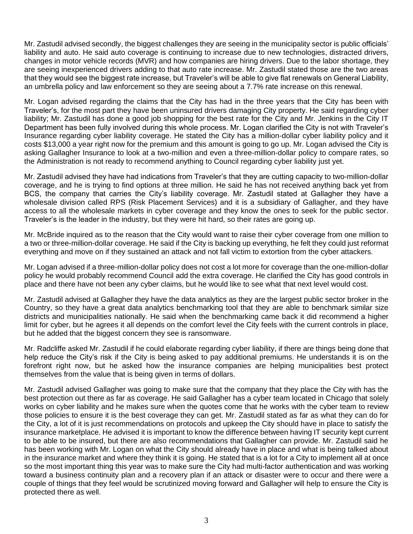Mr. Zastudil advised secondly, the biggest challenges they are seeing in the municipality sector is public officials' liability and auto. He said auto coverage is continuing to increase due to new technologies, distracted drivers, changes in motor vehicle records (MVR) and how companies are hiring drivers. Due to the labor shortage, they are seeing inexperienced drivers adding to that auto rate increase. Mr. Zastudil stated those are the two areas that they would see the biggest rate increase, but Traveler's will be able to give flat renewals on General Liability, an umbrella policy and law enforcement so they are seeing about a 7.7% rate increase on this renewal.

Mr. Logan advised regarding the claims that the City has had in the three years that the City has been with Traveler's, for the most part they have been uninsured drivers damaging City property. He said regarding cyber liability; Mr. Zastudil has done a good job shopping for the best rate for the City and Mr. Jenkins in the City IT Department has been fully involved during this whole process. Mr. Logan clarified the City is not with Traveler's Insurance regarding cyber liability coverage. He stated the City has a million-dollar cyber liability policy and it costs \$13,000 a year right now for the premium and this amount is going to go up. Mr. Logan advised the City is asking Gallagher Insurance to look at a two-million and even a three-million-dollar policy to compare rates, so the Administration is not ready to recommend anything to Council regarding cyber liability just yet.

Mr. Zastudil advised they have had indications from Traveler's that they are cutting capacity to two-million-dollar coverage, and he is trying to find options at three million. He said he has not received anything back yet from BCS, the company that carries the City's liability coverage. Mr. Zastudil stated at Gallagher they have a wholesale division called RPS (Risk Placement Services) and it is a subsidiary of Gallagher, and they have access to all the wholesale markets in cyber coverage and they know the ones to seek for the public sector. Traveler's is the leader in the industry, but they were hit hard, so their rates are going up.

Mr. McBride inquired as to the reason that the City would want to raise their cyber coverage from one million to a two or three-million-dollar coverage. He said if the City is backing up everything, he felt they could just reformat everything and move on if they sustained an attack and not fall victim to extortion from the cyber attackers.

Mr. Logan advised if a three-million-dollar policy does not cost a lot more for coverage than the one-million-dollar policy he would probably recommend Council add the extra coverage. He clarified the City has good controls in place and there have not been any cyber claims, but he would like to see what that next level would cost.

Mr. Zastudil advised at Gallagher they have the data analytics as they are the largest public sector broker in the Country, so they have a great data analytics benchmarking tool that they are able to benchmark similar size districts and municipalities nationally. He said when the benchmarking came back it did recommend a higher limit for cyber, but he agrees it all depends on the comfort level the City feels with the current controls in place, but he added that the biggest concern they see is ransomware.

Mr. Radcliffe asked Mr. Zastudil if he could elaborate regarding cyber liability, if there are things being done that help reduce the City's risk if the City is being asked to pay additional premiums. He understands it is on the forefront right now, but he asked how the insurance companies are helping municipalities best protect themselves from the value that is being given in terms of dollars.

Mr. Zastudil advised Gallagher was going to make sure that the company that they place the City with has the best protection out there as far as coverage. He said Gallagher has a cyber team located in Chicago that solely works on cyber liability and he makes sure when the quotes come that he works with the cyber team to review those policies to ensure it is the best coverage they can get. Mr. Zastudil stated as far as what they can do for the City, a lot of it is just recommendations on protocols and upkeep the City should have in place to satisfy the insurance marketplace. He advised it is important to know the difference between having IT security kept current to be able to be insured, but there are also recommendations that Gallagher can provide. Mr. Zastudil said he has been working with Mr. Logan on what the City should already have in place and what is being talked about in the insurance market and where they think it is going. He stated that is a lot for a City to implement all at once so the most important thing this year was to make sure the City had multi-factor authentication and was working toward a business continuity plan and a recovery plan if an attack or disaster were to occur and there were a couple of things that they feel would be scrutinized moving forward and Gallagher will help to ensure the City is protected there as well.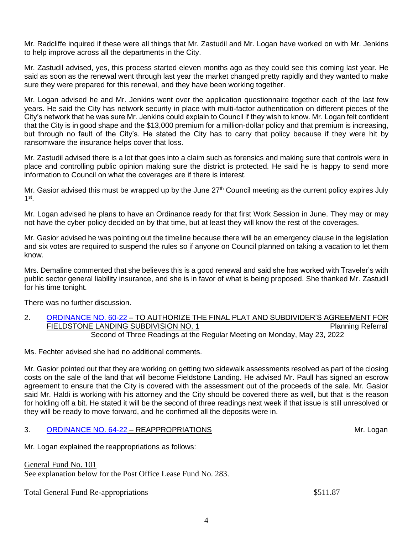Mr. Radcliffe inquired if these were all things that Mr. Zastudil and Mr. Logan have worked on with Mr. Jenkins to help improve across all the departments in the City.

Mr. Zastudil advised, yes, this process started eleven months ago as they could see this coming last year. He said as soon as the renewal went through last year the market changed pretty rapidly and they wanted to make sure they were prepared for this renewal, and they have been working together.

Mr. Logan advised he and Mr. Jenkins went over the application questionnaire together each of the last few years. He said the City has network security in place with multi-factor authentication on different pieces of the City's network that he was sure Mr. Jenkins could explain to Council if they wish to know. Mr. Logan felt confident that the City is in good shape and the \$13,000 premium for a million-dollar policy and that premium is increasing, but through no fault of the City's. He stated the City has to carry that policy because if they were hit by ransomware the insurance helps cover that loss.

Mr. Zastudil advised there is a lot that goes into a claim such as forensics and making sure that controls were in place and controlling public opinion making sure the district is protected. He said he is happy to send more information to Council on what the coverages are if there is interest.

Mr. Gasior advised this must be wrapped up by the June  $27<sup>th</sup>$  Council meeting as the current policy expires July  $1^{\text{st}}$ .

Mr. Logan advised he plans to have an Ordinance ready for that first Work Session in June. They may or may not have the cyber policy decided on by that time, but at least they will know the rest of the coverages.

Mr. Gasior advised he was pointing out the timeline because there will be an emergency clause in the legislation and six votes are required to suspend the rules so if anyone on Council planned on taking a vacation to let them know.

Mrs. Demaline commented that she believes this is a good renewal and said she has worked with Traveler's with public sector general liability insurance, and she is in favor of what is being proposed. She thanked Mr. Zastudil for his time tonight.

There was no further discussion.

2. [ORDINANCE NO. 60-22](https://www.cityofavon.com/DocumentCenter/View/7810/Ordinance-No-60-22-Fieldstone-Auth-SDA--PB) – TO AUTHORIZE THE FINAL PLAT AND SUBDIVIDER'S AGREEMENT FOR FIELDSTONE LANDING SUBDIVISION NO. 1 PIELDSTONE Planning Referral Second of Three Readings at the Regular Meeting on Monday, May 23, 2022

Ms. Fechter advised she had no additional comments.

Mr. Gasior pointed out that they are working on getting two sidewalk assessments resolved as part of the closing costs on the sale of the land that will become Fieldstone Landing. He advised Mr. Paull has signed an escrow agreement to ensure that the City is covered with the assessment out of the proceeds of the sale. Mr. Gasior said Mr. Haldi is working with his attorney and the City should be covered there as well, but that is the reason for holding off a bit. He stated it will be the second of three readings next week if that issue is still unresolved or they will be ready to move forward, and he confirmed all the deposits were in.

# 3. [ORDINANCE NO. 64-22](https://www.cityofavon.com/DocumentCenter/View/7838/Ordinance-No-64-22---Reappropriations) – REAPPROPRIATIONS **SECURITY AND REALLY SECURITY CONTRACTS** Mr. Logan

Mr. Logan explained the reappropriations as follows:

General Fund No. 101 See explanation below for the Post Office Lease Fund No. 283.

Total General Fund Re-appropriations  $$511.87$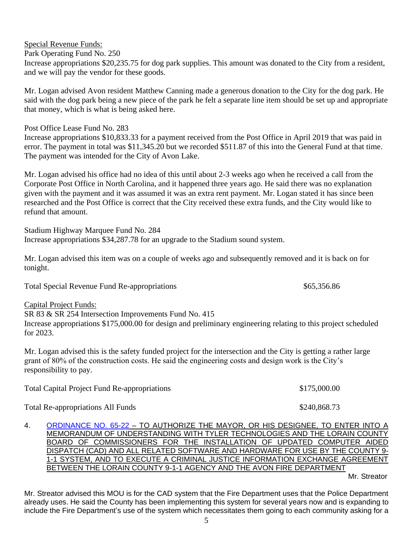## Special Revenue Funds: Park Operating Fund No. 250 Increase appropriations \$20,235.75 for dog park supplies. This amount was donated to the City from a resident, and we will pay the vendor for these goods.

Mr. Logan advised Avon resident Matthew Canning made a generous donation to the City for the dog park. He said with the dog park being a new piece of the park he felt a separate line item should be set up and appropriate that money, which is what is being asked here.

Post Office Lease Fund No. 283

Increase appropriations \$10,833.33 for a payment received from the Post Office in April 2019 that was paid in error. The payment in total was \$11,345.20 but we recorded \$511.87 of this into the General Fund at that time. The payment was intended for the City of Avon Lake.

Mr. Logan advised his office had no idea of this until about 2-3 weeks ago when he received a call from the Corporate Post Office in North Carolina, and it happened three years ago. He said there was no explanation given with the payment and it was assumed it was an extra rent payment. Mr. Logan stated it has since been researched and the Post Office is correct that the City received these extra funds, and the City would like to refund that amount.

Stadium Highway Marquee Fund No. 284 Increase appropriations \$34,287.78 for an upgrade to the Stadium sound system.

Mr. Logan advised this item was on a couple of weeks ago and subsequently removed and it is back on for tonight.

Total Special Revenue Fund Re-appropriations  $$65,356.86$ 

Capital Project Funds:

SR 83 & SR 254 Intersection Improvements Fund No. 415

Increase appropriations \$175,000.00 for design and preliminary engineering relating to this project scheduled for 2023.

Mr. Logan advised this is the safety funded project for the intersection and the City is getting a rather large grant of 80% of the construction costs. He said the engineering costs and design work is the City's responsibility to pay.

| <b>Total Capital Project Fund Re-appropriations</b> | \$175,000.00 |
|-----------------------------------------------------|--------------|
| <b>Total Re-appropriations All Funds</b>            | \$240,868.73 |

4. [ORDINANCE NO. 65-22](https://www.cityofavon.com/DocumentCenter/View/7845/Ordinance-No-65-22-FIRE-MOU---CAD-RMS) – TO AUTHORIZE THE MAYOR, OR HIS DESIGNEE, TO ENTER INTO A MEMORANDUM OF UNDERSTANDING WITH TYLER TECHNOLOGIES AND THE LORAIN COUNTY BOARD OF COMMISSIONERS FOR THE INSTALLATION OF UPDATED COMPUTER AIDED DISPATCH (CAD) AND ALL RELATED SOFTWARE AND HARDWARE FOR USE BY THE COUNTY 9- 1-1 SYSTEM, AND TO EXECUTE A CRIMINAL JUSTICE INFORMATION EXCHANGE AGREEMENT BETWEEN THE LORAIN COUNTY 9-1-1 AGENCY AND THE AVON FIRE DEPARTMENT

Mr. Streator

Mr. Streator advised this MOU is for the CAD system that the Fire Department uses that the Police Department already uses. He said the County has been implementing this system for several years now and is expanding to include the Fire Department's use of the system which necessitates them going to each community asking for a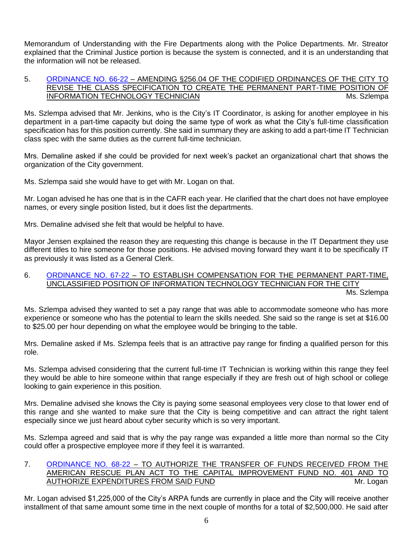Memorandum of Understanding with the Fire Departments along with the Police Departments. Mr. Streator explained that the Criminal Justice portion is because the system is connected, and it is an understanding that the information will not be released.

#### 5. [ORDINANCE NO. 66-22](https://www.cityofavon.com/DocumentCenter/View/7846/Ordinance-No-66-22-Create-Part-time-IT-Technician) – AMENDING §256.04 OF THE CODIFIED ORDINANCES OF THE CITY TO REVISE THE CLASS SPECIFICATION TO CREATE THE PERMANENT PART-TIME POSITION OF INFORMATION TECHNOLOGY TECHNICIAN MICHAEL AND THE MS. Szlempa

Ms. Szlempa advised that Mr. Jenkins, who is the City's IT Coordinator, is asking for another employee in his department in a part-time capacity but doing the same type of work as what the City's full-time classification specification has for this position currently. She said in summary they are asking to add a part-time IT Technician class spec with the same duties as the current full-time technician.

Mrs. Demaline asked if she could be provided for next week's packet an organizational chart that shows the organization of the City government.

Ms. Szlempa said she would have to get with Mr. Logan on that.

Mr. Logan advised he has one that is in the CAFR each year. He clarified that the chart does not have employee names, or every single position listed, but it does list the departments.

Mrs. Demaline advised she felt that would be helpful to have.

Mayor Jensen explained the reason they are requesting this change is because in the IT Department they use different titles to hire someone for those positions. He advised moving forward they want it to be specifically IT as previously it was listed as a General Clerk.

# 6. [ORDINANCE NO. 67-22](https://www.cityofavon.com/DocumentCenter/View/7847/Ordinance-No-67-22-IT-Tech-PT---Pay) – TO ESTABLISH COMPENSATION FOR THE PERMANENT PART-TIME, UNCLASSIFIED POSITION OF INFORMATION TECHNOLOGY TECHNICIAN FOR THE CITY

Ms. Szlempa

Ms. Szlempa advised they wanted to set a pay range that was able to accommodate someone who has more experience or someone who has the potential to learn the skills needed. She said so the range is set at \$16.00 to \$25.00 per hour depending on what the employee would be bringing to the table.

Mrs. Demaline asked if Ms. Szlempa feels that is an attractive pay range for finding a qualified person for this role.

Ms. Szlempa advised considering that the current full-time IT Technician is working within this range they feel they would be able to hire someone within that range especially if they are fresh out of high school or college looking to gain experience in this position.

Mrs. Demaline advised she knows the City is paying some seasonal employees very close to that lower end of this range and she wanted to make sure that the City is being competitive and can attract the right talent especially since we just heard about cyber security which is so very important.

Ms. Szlempa agreed and said that is why the pay range was expanded a little more than normal so the City could offer a prospective employee more if they feel it is warranted.

## 7. [ORDINANCE NO. 68-22](https://www.cityofavon.com/DocumentCenter/View/7848/Ordinance-No-68-22-ARPA-5-12-22) – TO AUTHORIZE THE TRANSFER OF FUNDS RECEIVED FROM THE AMERICAN RESCUE PLAN ACT TO THE CAPITAL IMPROVEMENT FUND NO. 401 AND TO AUTHORIZE EXPENDITURES FROM SAID FUND METAL SERVICES AND MIT. Logan

Mr. Logan advised \$1,225,000 of the City's ARPA funds are currently in place and the City will receive another installment of that same amount some time in the next couple of months for a total of \$2,500,000. He said after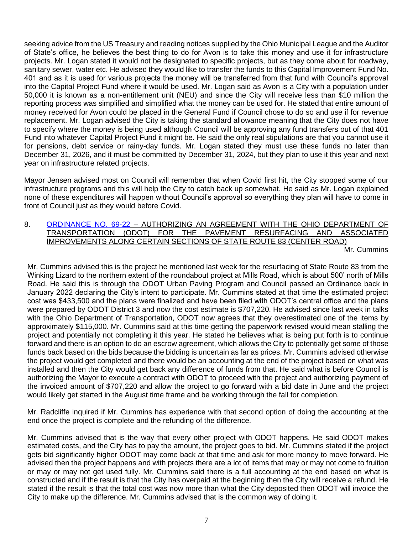seeking advice from the US Treasury and reading notices supplied by the Ohio Municipal League and the Auditor of State's office, he believes the best thing to do for Avon is to take this money and use it for infrastructure projects. Mr. Logan stated it would not be designated to specific projects, but as they come about for roadway, sanitary sewer, water etc. He advised they would like to transfer the funds to this Capital Improvement Fund No. 401 and as it is used for various projects the money will be transferred from that fund with Council's approval into the Capital Project Fund where it would be used. Mr. Logan said as Avon is a City with a population under 50,000 it is known as a non-entitlement unit (NEU) and since the City will receive less than \$10 million the reporting process was simplified and simplified what the money can be used for. He stated that entire amount of money received for Avon could be placed in the General Fund if Council chose to do so and use if for revenue replacement. Mr. Logan advised the City is taking the standard allowance meaning that the City does not have to specify where the money is being used although Council will be approving any fund transfers out of that 401 Fund into whatever Capital Project Fund it might be. He said the only real stipulations are that you cannot use it for pensions, debt service or rainy-day funds. Mr. Logan stated they must use these funds no later than December 31, 2026, and it must be committed by December 31, 2024, but they plan to use it this year and next year on infrastructure related projects.

Mayor Jensen advised most on Council will remember that when Covid first hit, the City stopped some of our infrastructure programs and this will help the City to catch back up somewhat. He said as Mr. Logan explained none of these expenditures will happen without Council's approval so everything they plan will have to come in front of Council just as they would before Covid.

8. [ORDINANCE NO. 69-22](https://www.cityofavon.com/DocumentCenter/View/7849/Ordinance-No-69-22-ODOT-SR83-Urban-Paving-5-13-22) – AUTHORIZING AN AGREEMENT WITH THE OHIO DEPARTMENT OF TRANSPORTATION (ODOT) FOR THE PAVEMENT RESURFACING AND ASSOCIATED IMPROVEMENTS ALONG CERTAIN SECTIONS OF STATE ROUTE 83 (CENTER ROAD)

Mr. Cummins

Mr. Cummins advised this is the project he mentioned last week for the resurfacing of State Route 83 from the Winking Lizard to the northern extent of the roundabout project at Mills Road, which is about 500' north of Mills Road. He said this is through the ODOT Urban Paving Program and Council passed an Ordinance back in January 2022 declaring the City's intent to participate. Mr. Cummins stated at that time the estimated project cost was \$433,500 and the plans were finalized and have been filed with ODOT's central office and the plans were prepared by ODOT District 3 and now the cost estimate is \$707,220. He advised since last week in talks with the Ohio Department of Transportation, ODOT now agrees that they overestimated one of the items by approximately \$115,000. Mr. Cummins said at this time getting the paperwork revised would mean stalling the project and potentially not completing it this year. He stated he believes what is being put forth is to continue forward and there is an option to do an escrow agreement, which allows the City to potentially get some of those funds back based on the bids because the bidding is uncertain as far as prices. Mr. Cummins advised otherwise the project would get completed and there would be an accounting at the end of the project based on what was installed and then the City would get back any difference of funds from that. He said what is before Council is authorizing the Mayor to execute a contract with ODOT to proceed with the project and authorizing payment of the invoiced amount of \$707,220 and allow the project to go forward with a bid date in June and the project would likely get started in the August time frame and be working through the fall for completion.

Mr. Radcliffe inquired if Mr. Cummins has experience with that second option of doing the accounting at the end once the project is complete and the refunding of the difference.

Mr. Cummins advised that is the way that every other project with ODOT happens. He said ODOT makes estimated costs, and the City has to pay the amount, the project goes to bid. Mr. Cummins stated if the project gets bid significantly higher ODOT may come back at that time and ask for more money to move forward. He advised then the project happens and with projects there are a lot of items that may or may not come to fruition or may or may not get used fully. Mr. Cummins said there is a full accounting at the end based on what is constructed and if the result is that the City has overpaid at the beginning then the City will receive a refund. He stated if the result is that the total cost was now more than what the City deposited then ODOT will invoice the City to make up the difference. Mr. Cummins advised that is the common way of doing it.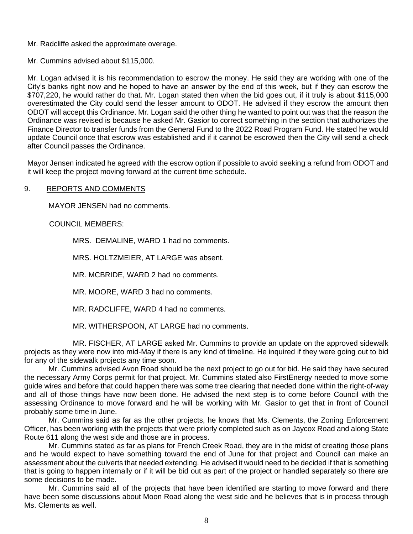Mr. Radcliffe asked the approximate overage.

Mr. Cummins advised about \$115,000.

Mr. Logan advised it is his recommendation to escrow the money. He said they are working with one of the City's banks right now and he hoped to have an answer by the end of this week, but if they can escrow the \$707,220, he would rather do that. Mr. Logan stated then when the bid goes out, if it truly is about \$115,000 overestimated the City could send the lesser amount to ODOT. He advised if they escrow the amount then ODOT will accept this Ordinance. Mr. Logan said the other thing he wanted to point out was that the reason the Ordinance was revised is because he asked Mr. Gasior to correct something in the section that authorizes the Finance Director to transfer funds from the General Fund to the 2022 Road Program Fund. He stated he would update Council once that escrow was established and if it cannot be escrowed then the City will send a check after Council passes the Ordinance.

Mayor Jensen indicated he agreed with the escrow option if possible to avoid seeking a refund from ODOT and it will keep the project moving forward at the current time schedule.

## 9. REPORTS AND COMMENTS

MAYOR JENSEN had no comments.

COUNCIL MEMBERS:

MRS. DEMALINE, WARD 1 had no comments.

MRS. HOLTZMEIER, AT LARGE was absent.

MR. MCBRIDE, WARD 2 had no comments.

MR. MOORE, WARD 3 had no comments.

MR. RADCLIFFE, WARD 4 had no comments.

MR. WITHERSPOON, AT LARGE had no comments.

MR. FISCHER, AT LARGE asked Mr. Cummins to provide an update on the approved sidewalk projects as they were now into mid-May if there is any kind of timeline. He inquired if they were going out to bid for any of the sidewalk projects any time soon.

Mr. Cummins advised Avon Road should be the next project to go out for bid. He said they have secured the necessary Army Corps permit for that project. Mr. Cummins stated also FirstEnergy needed to move some guide wires and before that could happen there was some tree clearing that needed done within the right-of-way and all of those things have now been done. He advised the next step is to come before Council with the assessing Ordinance to move forward and he will be working with Mr. Gasior to get that in front of Council probably some time in June.

Mr. Cummins said as far as the other projects, he knows that Ms. Clements, the Zoning Enforcement Officer, has been working with the projects that were priorly completed such as on Jaycox Road and along State Route 611 along the west side and those are in process.

Mr. Cummins stated as far as plans for French Creek Road, they are in the midst of creating those plans and he would expect to have something toward the end of June for that project and Council can make an assessment about the culverts that needed extending. He advised it would need to be decided if that is something that is going to happen internally or if it will be bid out as part of the project or handled separately so there are some decisions to be made.

Mr. Cummins said all of the projects that have been identified are starting to move forward and there have been some discussions about Moon Road along the west side and he believes that is in process through Ms. Clements as well.